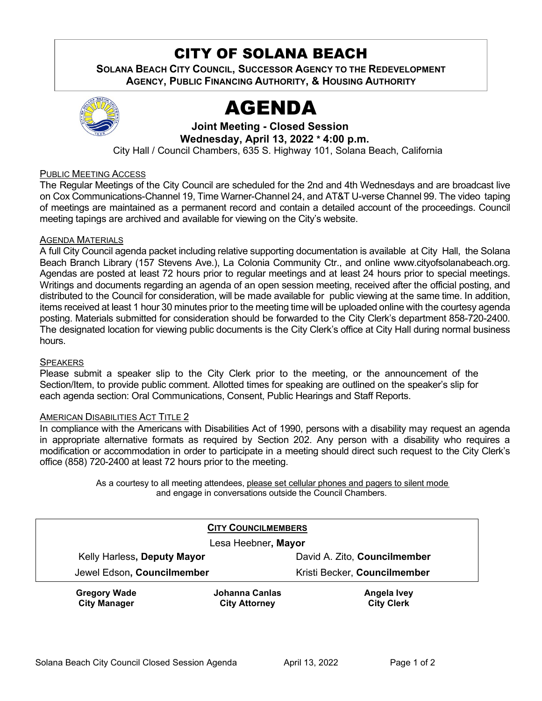# CITY OF SOLANA BEACH

**SOLANA BEACH CITY COUNCIL, SUCCESSOR AGENCY TO THE REDEVELOPMENT AGENCY, PUBLIC FINANCING AUTHORITY, & HOUSING AUTHORITY**



# AGENDA

**Joint Meeting - Closed Session Wednesday, April 13, 2022 \* 4:00 p.m.**

City Hall / Council Chambers, 635 S. Highway 101, Solana Beach, California

#### PUBLIC MEETING ACCESS

The Regular Meetings of the City Council are scheduled for the 2nd and 4th Wednesdays and are broadcast live on Cox Communications-Channel 19, Time Warner-Channel 24, and AT&T U-verse Channel 99. The video taping of meetings are maintained as a permanent record and contain a detailed account of the proceedings. Council meeting tapings are archived and available for viewing on the City's website.

#### **AGENDA MATERIALS**

A full City Council agenda packet including relative supporting documentation is available at City Hall, the Solana Beach Branch Library (157 Stevens Ave.), La Colonia Community Ctr., and online [www.cityofsolanabeach.org.](http://www.cityofsolanabeach.org/) Agendas are posted at least 72 hours prior to regular meetings and at least 24 hours prior to special meetings. Writings and documents regarding an agenda of an open session meeting, received after the official posting, and distributed to the Council for consideration, will be made available for public viewing at the same time. In addition, items received at least 1 hour 30 minutes prior to the meeting time will be uploaded online with the courtesy agenda posting. Materials submitted for consideration should be forwarded to the City Clerk's department 858-720-2400. The designated location for viewing public documents is the City Clerk's office at City Hall during normal business hours.

#### **SPEAKERS**

Please submit a speaker slip to the City Clerk prior to the meeting, or the announcement of the Section/Item, to provide public comment. Allotted times for speaking are outlined on the speaker's slip for each agenda section: Oral Communications, Consent, Public Hearings and Staff Reports.

#### AMERICAN DISABILITIES ACT TITLE 2

In compliance with the Americans with Disabilities Act of 1990, persons with a disability may request an agenda in appropriate alternative formats as required by Section 202. Any person with a disability who requires a modification or accommodation in order to participate in a meeting should direct such request to the City Clerk's office (858) 720-2400 at least 72 hours prior to the meeting.

> As a courtesy to all meeting attendees, please set cellular phones and pagers to silent mode and engage in conversations outside the Council Chambers.

| <b>CITY COUNCILMEMBERS</b>  |                |                              |
|-----------------------------|----------------|------------------------------|
| Lesa Heebner, Mayor         |                |                              |
| Kelly Harless, Deputy Mayor |                | David A. Zito, Councilmember |
| Jewel Edson, Councilmember  |                | Kristi Becker, Councilmember |
| <b>Gregory Wade</b>         | Johanna Canlas | <b>Angela Ivey</b>           |

**City Attorney**

**City Manager**

**City Clerk**